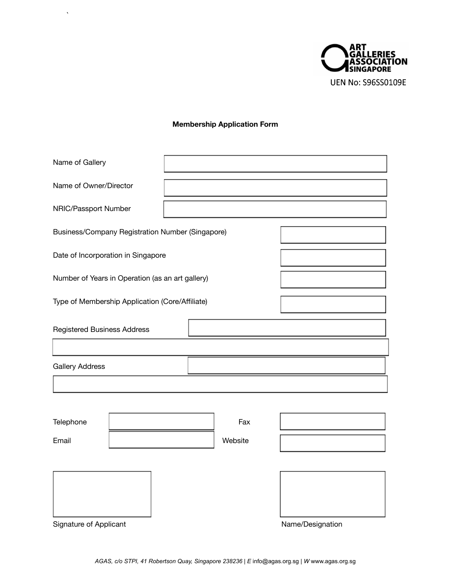

## **Membership Application Form**

 $\langle \cdot \rangle$ 

| Name of Gallery                                  |         |                  |  |
|--------------------------------------------------|---------|------------------|--|
| Name of Owner/Director                           |         |                  |  |
| NRIC/Passport Number                             |         |                  |  |
| Business/Company Registration Number (Singapore) |         |                  |  |
| Date of Incorporation in Singapore               |         |                  |  |
| Number of Years in Operation (as an art gallery) |         |                  |  |
| Type of Membership Application (Core/Affiliate)  |         |                  |  |
| <b>Registered Business Address</b>               |         |                  |  |
|                                                  |         |                  |  |
| <b>Gallery Address</b>                           |         |                  |  |
|                                                  |         |                  |  |
|                                                  |         |                  |  |
| Telephone                                        | Fax     |                  |  |
| Email                                            | Website |                  |  |
|                                                  |         |                  |  |
|                                                  |         |                  |  |
|                                                  |         |                  |  |
| Signature of Applicant                           |         | Name/Designation |  |